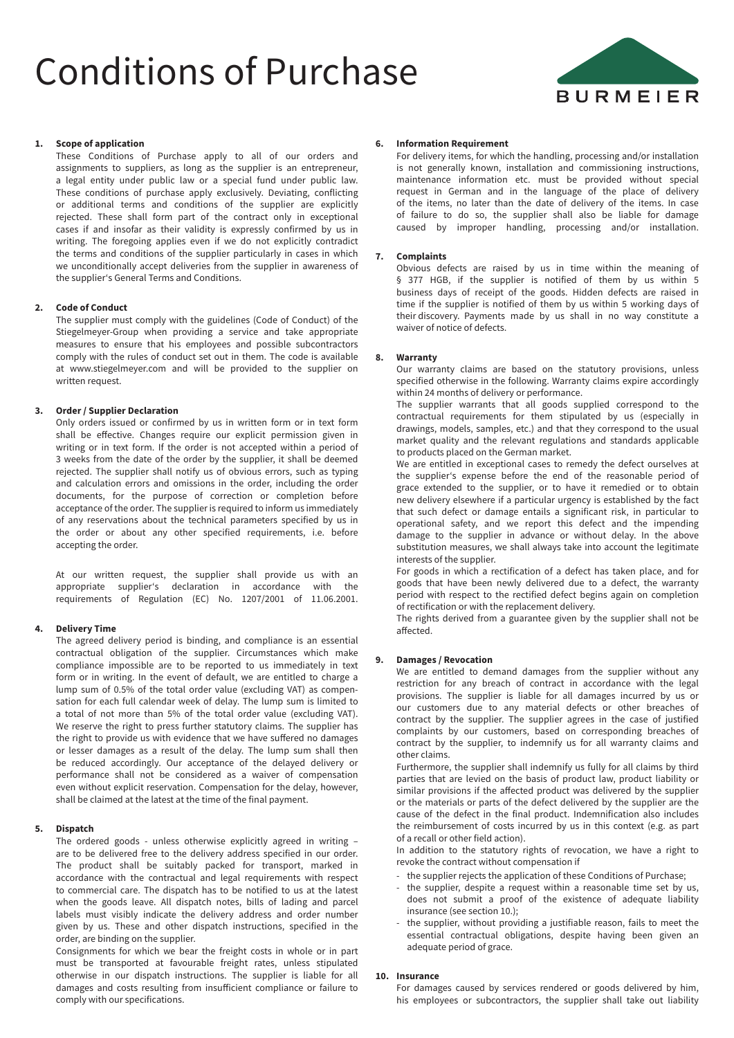# Conditions of Purchase



### **1. Scope of application**

These Conditions of Purchase apply to all of our orders and assignments to suppliers, as long as the supplier is an entrepreneur, a legal entity under public law or a special fund under public law. These conditions of purchase apply exclusively. Deviating, conflicting or additional terms and conditions of the supplier are explicitly rejected. These shall form part of the contract only in exceptional cases if and insofar as their validity is expressly confirmed by us in writing. The foregoing applies even if we do not explicitly contradict the terms and conditions of the supplier particularly in cases in which we unconditionally accept deliveries from the supplier in awareness of the supplier's General Terms and Conditions.

#### **2. Code of Conduct**

The supplier must comply with the guidelines (Code of Conduct) of the Stiegelmeyer-Group when providing a service and take appropriate measures to ensure that his employees and possible subcontractors comply with the rules of conduct set out in them. The code is available at www.stiegelmeyer.com and will be provided to the supplier on written request.

### **3. Order / Supplier Declaration**

Only orders issued or confirmed by us in written form or in text form shall be effective. Changes require our explicit permission given in writing or in text form. If the order is not accepted within a period of 3 weeks from the date of the order by the supplier, it shall be deemed rejected. The supplier shall notify us of obvious errors, such as typing and calculation errors and omissions in the order, including the order documents, for the purpose of correction or completion before acceptance of the order. The supplier is required to inform us immediately of any reservations about the technical parameters specified by us in the order or about any other specified requirements, i.e. before accepting the order.

At our written request, the supplier shall provide us with an appropriate supplier's declaration in accordance with the requirements of Regulation (EC) No. 1207/2001 of 11.06.2001.

### **4. Delivery Time**

The agreed delivery period is binding, and compliance is an essential contractual obligation of the supplier. Circumstances which make compliance impossible are to be reported to us immediately in text form or in writing. In the event of default, we are entitled to charge a lump sum of 0.5% of the total order value (excluding VAT) as compensation for each full calendar week of delay. The lump sum is limited to a total of not more than 5% of the total order value (excluding VAT). We reserve the right to press further statutory claims. The supplier has the right to provide us with evidence that we have suffered no damages or lesser damages as a result of the delay. The lump sum shall then be reduced accordingly. Our acceptance of the delayed delivery or performance shall not be considered as a waiver of compensation even without explicit reservation. Compensation for the delay, however, shall be claimed at the latest at the time of the final payment.

### **5. Dispatch**

The ordered goods - unless otherwise explicitly agreed in writing – are to be delivered free to the delivery address specified in our order. The product shall be suitably packed for transport, marked in accordance with the contractual and legal requirements with respect to commercial care. The dispatch has to be notified to us at the latest when the goods leave. All dispatch notes, bills of lading and parcel labels must visibly indicate the delivery address and order number given by us. These and other dispatch instructions, specified in the order, are binding on the supplier.

Consignments for which we bear the freight costs in whole or in part must be transported at favourable freight rates, unless stipulated otherwise in our dispatch instructions. The supplier is liable for all damages and costs resulting from insufficient compliance or failure to comply with our specifications.

#### **6. Information Requirement**

For delivery items, for which the handling, processing and/or installation is not generally known, installation and commissioning instructions, maintenance information etc. must be provided without special request in German and in the language of the place of delivery of the items, no later than the date of delivery of the items. In case of failure to do so, the supplier shall also be liable for damage caused by improper handling, processing and/or installation.

#### **7. Complaints**

Obvious defects are raised by us in time within the meaning of § 377 HGB, if the supplier is notified of them by us within 5 business days of receipt of the goods. Hidden defects are raised in time if the supplier is notified of them by us within 5 working days of their discovery. Payments made by us shall in no way constitute a waiver of notice of defects.

#### **8. Warranty**

Our warranty claims are based on the statutory provisions, unless specified otherwise in the following. Warranty claims expire accordingly within 24 months of delivery or performance.

The supplier warrants that all goods supplied correspond to the contractual requirements for them stipulated by us (especially in drawings, models, samples, etc.) and that they correspond to the usual market quality and the relevant regulations and standards applicable to products placed on the German market.

We are entitled in exceptional cases to remedy the defect ourselves at the supplier's expense before the end of the reasonable period of grace extended to the supplier, or to have it remedied or to obtain new delivery elsewhere if a particular urgency is established by the fact that such defect or damage entails a significant risk, in particular to operational safety, and we report this defect and the impending damage to the supplier in advance or without delay. In the above substitution measures, we shall always take into account the legitimate interests of the supplier.

For goods in which a rectification of a defect has taken place, and for goods that have been newly delivered due to a defect, the warranty period with respect to the rectified defect begins again on completion of rectification or with the replacement delivery.

The rights derived from a guarantee given by the supplier shall not be affected.

#### **9. Damages / Revocation**

We are entitled to demand damages from the supplier without any restriction for any breach of contract in accordance with the legal provisions. The supplier is liable for all damages incurred by us or our customers due to any material defects or other breaches of contract by the supplier. The supplier agrees in the case of justified complaints by our customers, based on corresponding breaches of contract by the supplier, to indemnify us for all warranty claims and other claims.

Furthermore, the supplier shall indemnify us fully for all claims by third parties that are levied on the basis of product law, product liability or similar provisions if the affected product was delivered by the supplier or the materials or parts of the defect delivered by the supplier are the cause of the defect in the final product. Indemnification also includes the reimbursement of costs incurred by us in this context (e.g. as part of a recall or other field action).

In addition to the statutory rights of revocation, we have a right to revoke the contract without compensation if

- the supplier rejects the application of these Conditions of Purchase;
- the supplier, despite a request within a reasonable time set by us, does not submit a proof of the existence of adequate liability insurance (see section 10.);
- the supplier, without providing a justifiable reason, fails to meet the essential contractual obligations, despite having been given an adequate period of grace.

# **10. Insurance**

For damages caused by services rendered or goods delivered by him, his employees or subcontractors, the supplier shall take out liability